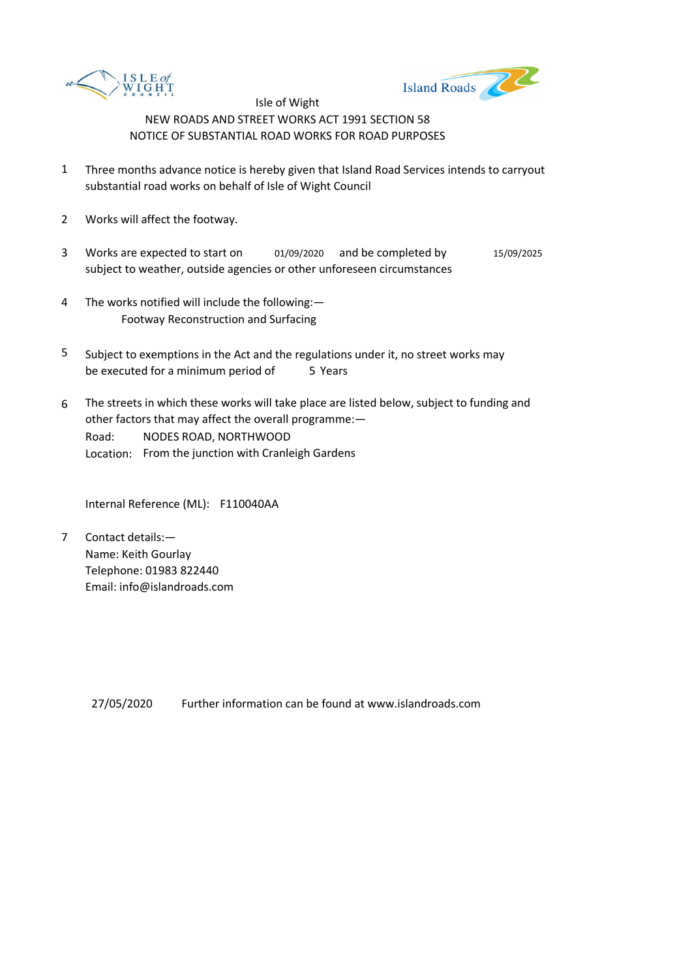



- 1 Three months advance notice is hereby given that Island Road Services intends to carryout substantial road works on behalf of Isle of Wight Council
- 2 Works will affect the footway.
- 3 Works are expected to start on  $01/09/2020$  and be completed by  $15/09/2025$ subject to weather, outside agencies or other unforeseen circumstances
- 4 The works notified will include the following:— Footway Reconstruction and Surfacing
- 5 be executed for a minimum period of 5 Years Subject to exemptions in the Act and the regulations under it, no street works may
- 6 Road: Location: From the junction with Cranleigh Gardens The streets in which these works will take place are listed below, subject to funding and other factors that may affect the overall programme:— NODES ROAD, NORTHWOOD

Internal Reference (ML): F110040AA

7 Contact details:— Name: Keith Gourlay Telephone: 01983 822440 Email: info@islandroads.com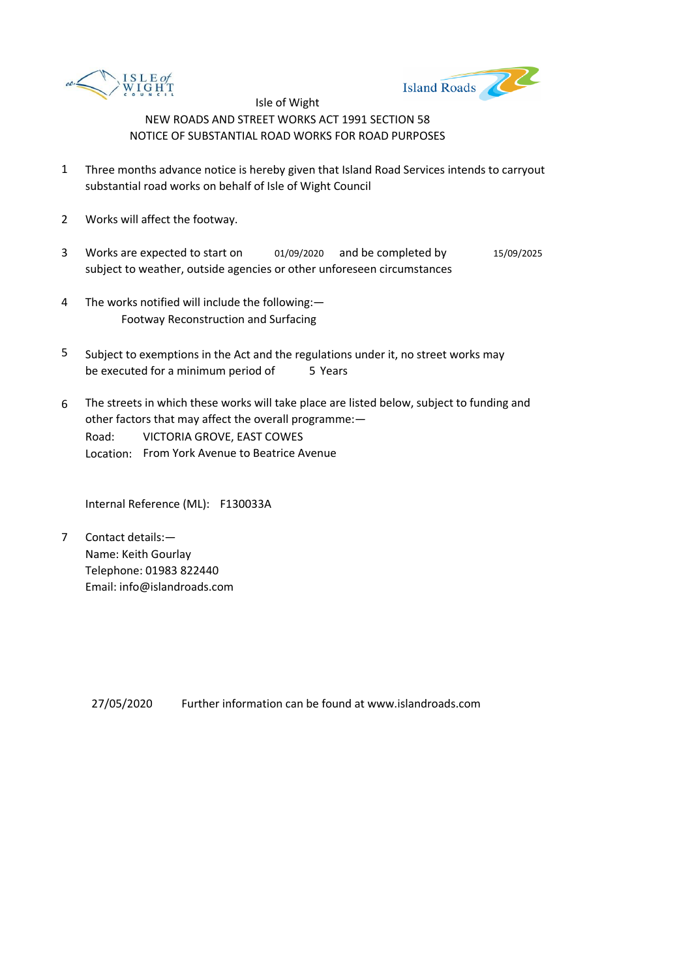



- 1 Three months advance notice is hereby given that Island Road Services intends to carryout substantial road works on behalf of Isle of Wight Council
- 2 Works will affect the footway.
- 3 Works are expected to start on  $01/09/2020$  and be completed by  $15/09/2025$ subject to weather, outside agencies or other unforeseen circumstances
- 4 The works notified will include the following:— Footway Reconstruction and Surfacing
- 5 be executed for a minimum period of 5 Years Subject to exemptions in the Act and the regulations under it, no street works may
- 6 Road: Location: From York Avenue to Beatrice Avenue The streets in which these works will take place are listed below, subject to funding and other factors that may affect the overall programme:— VICTORIA GROVE, EAST COWES

Internal Reference (ML): F130033A

7 Contact details:— Name: Keith Gourlay Telephone: 01983 822440 Email: info@islandroads.com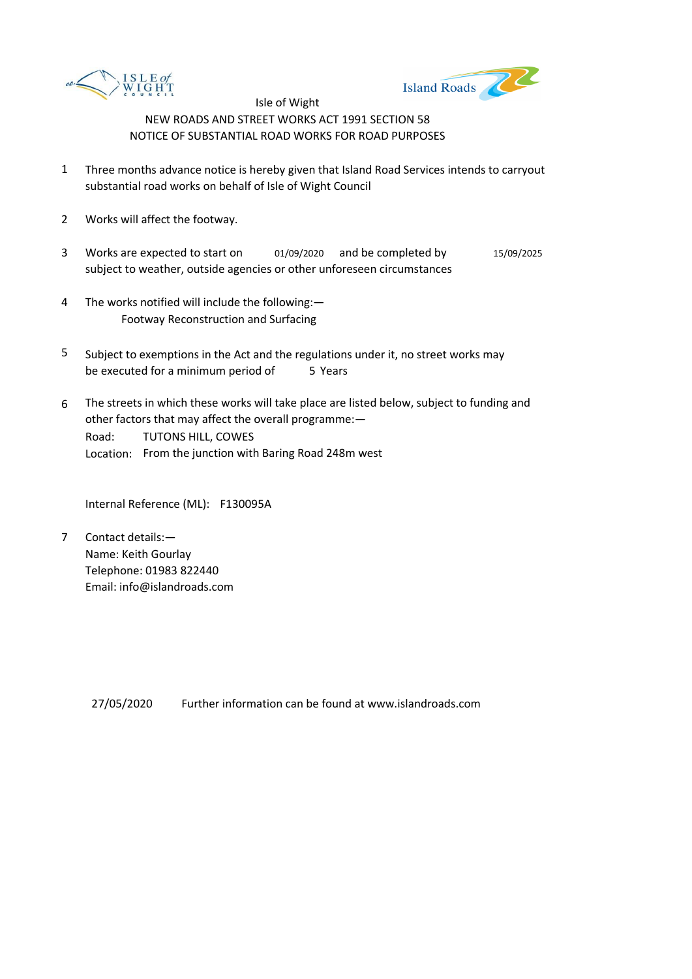



- 1 Three months advance notice is hereby given that Island Road Services intends to carryout substantial road works on behalf of Isle of Wight Council
- 2 Works will affect the footway.
- 3 Works are expected to start on  $01/09/2020$  and be completed by  $15/09/2025$ subject to weather, outside agencies or other unforeseen circumstances
- 4 The works notified will include the following:— Footway Reconstruction and Surfacing
- 5 be executed for a minimum period of 5 Years Subject to exemptions in the Act and the regulations under it, no street works may
- 6 Road: Location: From the junction with Baring Road 248m west The streets in which these works will take place are listed below, subject to funding and other factors that may affect the overall programme:— TUTONS HILL, COWES

Internal Reference (ML): F130095A

7 Contact details:— Name: Keith Gourlay Telephone: 01983 822440 Email: info@islandroads.com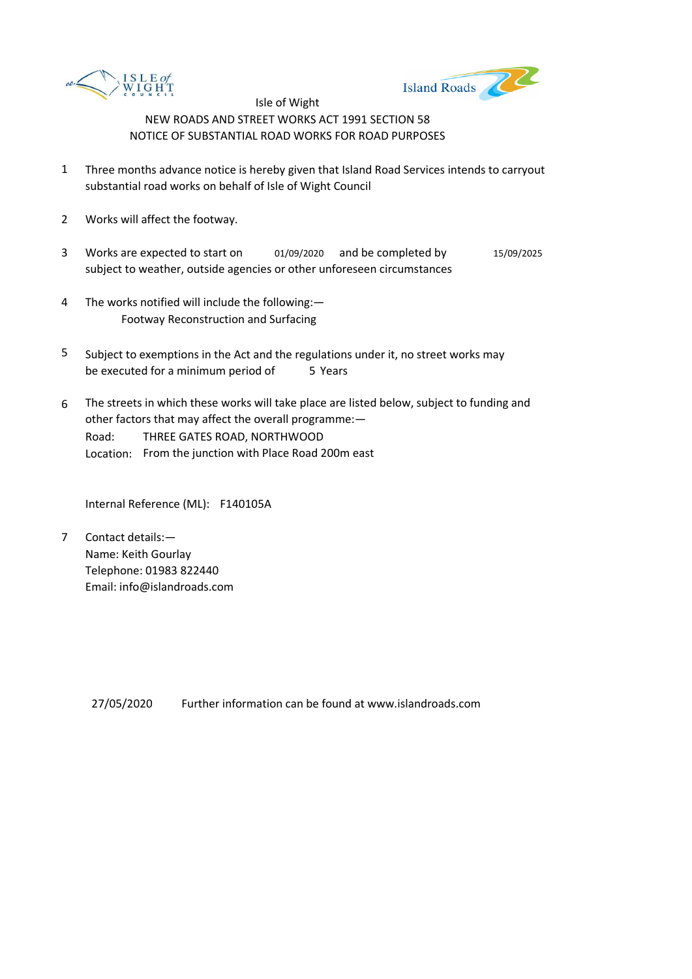



- 1 Three months advance notice is hereby given that Island Road Services intends to carryout substantial road works on behalf of Isle of Wight Council
- 2 Works will affect the footway.
- 3 Works are expected to start on  $01/09/2020$  and be completed by  $15/09/2025$ subject to weather, outside agencies or other unforeseen circumstances
- 4 The works notified will include the following:— Footway Reconstruction and Surfacing
- 5 be executed for a minimum period of 5 Years Subject to exemptions in the Act and the regulations under it, no street works may
- 6 Road: Location: From the junction with Place Road 200m east The streets in which these works will take place are listed below, subject to funding and other factors that may affect the overall programme:— THREE GATES ROAD, NORTHWOOD

Internal Reference (ML): F140105A

7 Contact details:— Name: Keith Gourlay Telephone: 01983 822440 Email: info@islandroads.com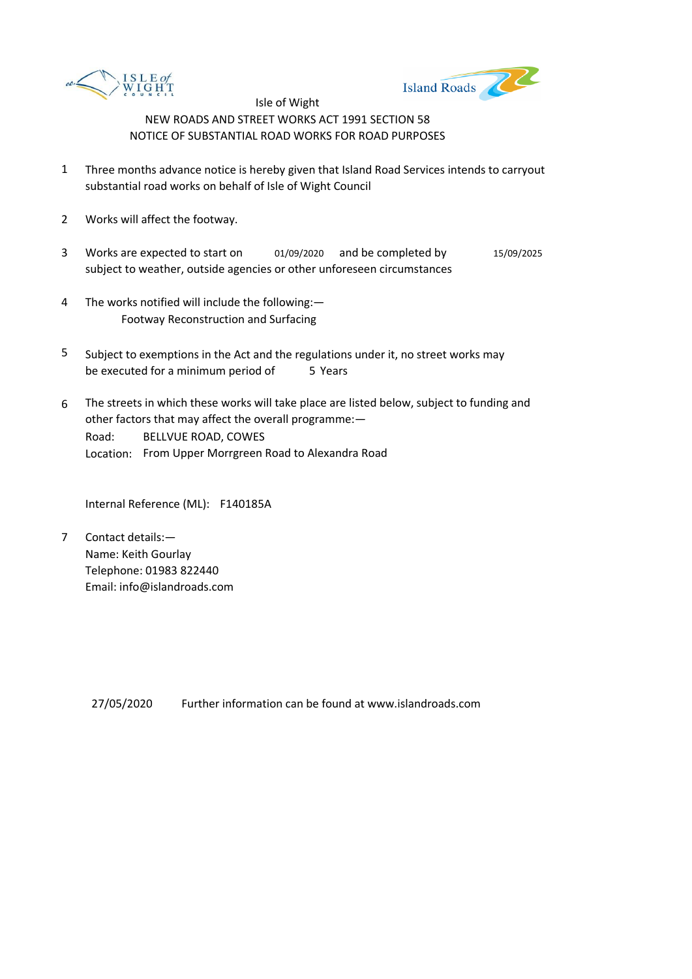



- 1 Three months advance notice is hereby given that Island Road Services intends to carryout substantial road works on behalf of Isle of Wight Council
- 2 Works will affect the footway.
- 3 Works are expected to start on  $01/09/2020$  and be completed by  $15/09/2025$ subject to weather, outside agencies or other unforeseen circumstances
- 4 The works notified will include the following:— Footway Reconstruction and Surfacing
- 5 be executed for a minimum period of 5 Years Subject to exemptions in the Act and the regulations under it, no street works may
- 6 Road: Location: From Upper Morrgreen Road to Alexandra Road The streets in which these works will take place are listed below, subject to funding and other factors that may affect the overall programme:— BELLVUE ROAD, COWES

Internal Reference (ML): F140185A

7 Contact details:— Name: Keith Gourlay Telephone: 01983 822440 Email: info@islandroads.com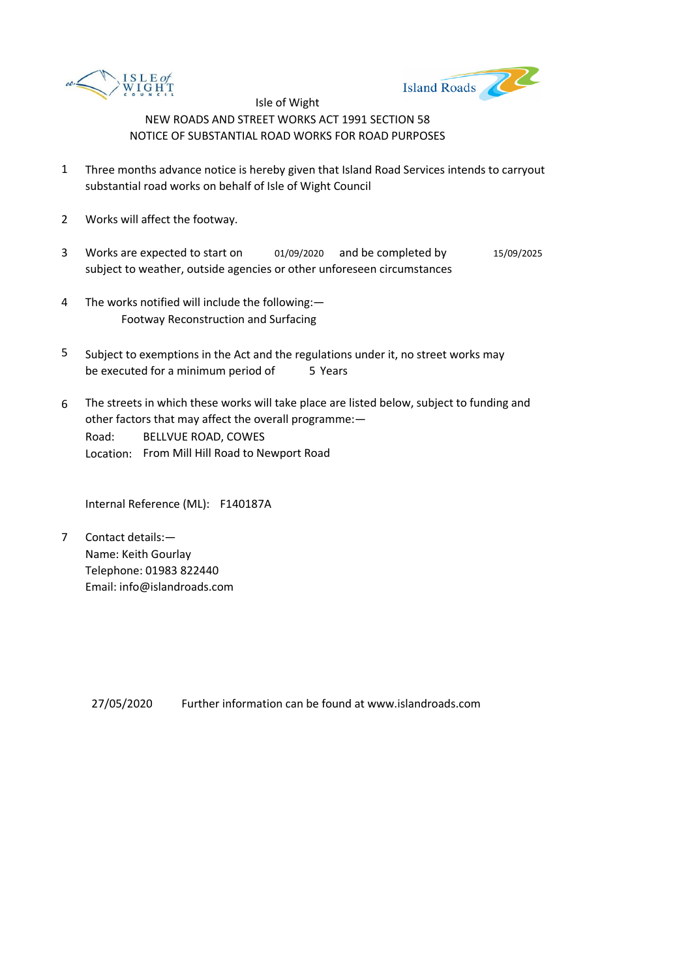



- 1 Three months advance notice is hereby given that Island Road Services intends to carryout substantial road works on behalf of Isle of Wight Council
- 2 Works will affect the footway.
- 3 Works are expected to start on  $01/09/2020$  and be completed by  $15/09/2025$ subject to weather, outside agencies or other unforeseen circumstances
- 4 The works notified will include the following:— Footway Reconstruction and Surfacing
- 5 be executed for a minimum period of 5 Years Subject to exemptions in the Act and the regulations under it, no street works may
- 6 Road: Location: From Mill Hill Road to Newport Road The streets in which these works will take place are listed below, subject to funding and other factors that may affect the overall programme:— BELLVUE ROAD, COWES

Internal Reference (ML): F140187A

7 Contact details:— Name: Keith Gourlay Telephone: 01983 822440 Email: info@islandroads.com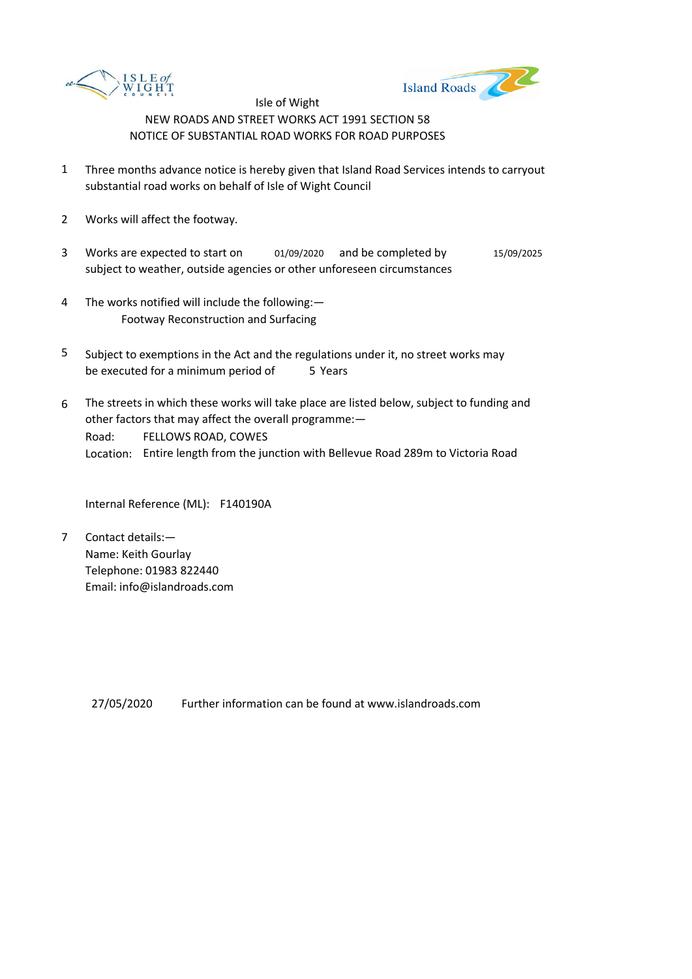



- 1 Three months advance notice is hereby given that Island Road Services intends to carryout substantial road works on behalf of Isle of Wight Council
- 2 Works will affect the footway.
- 3 Works are expected to start on  $01/09/2020$  and be completed by  $15/09/2025$ subject to weather, outside agencies or other unforeseen circumstances
- 4 The works notified will include the following:— Footway Reconstruction and Surfacing
- 5 be executed for a minimum period of 5 Years Subject to exemptions in the Act and the regulations under it, no street works may
- 6 Road: Location: Entire length from the junction with Bellevue Road 289m to Victoria Road The streets in which these works will take place are listed below, subject to funding and other factors that may affect the overall programme:— FELLOWS ROAD, COWES

Internal Reference (ML): F140190A

7 Contact details:— Name: Keith Gourlay Telephone: 01983 822440 Email: info@islandroads.com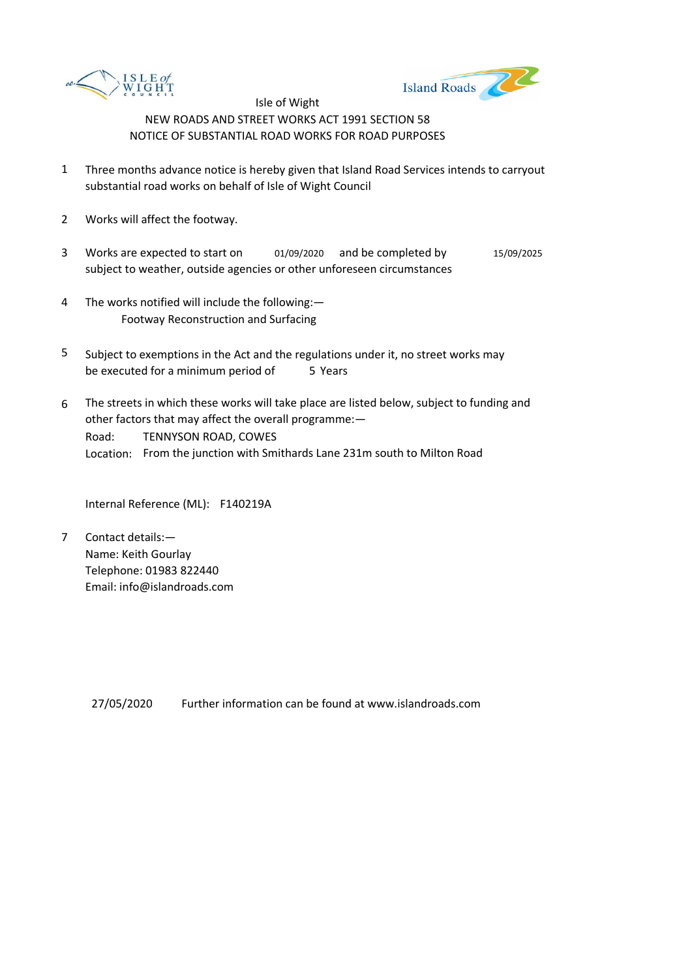



- 1 Three months advance notice is hereby given that Island Road Services intends to carryout substantial road works on behalf of Isle of Wight Council
- 2 Works will affect the footway.
- 3 Works are expected to start on  $01/09/2020$  and be completed by  $15/09/2025$ subject to weather, outside agencies or other unforeseen circumstances
- 4 The works notified will include the following:— Footway Reconstruction and Surfacing
- 5 be executed for a minimum period of 5 Years Subject to exemptions in the Act and the regulations under it, no street works may
- 6 Road: Location: From the junction with Smithards Lane 231m south to Milton Road The streets in which these works will take place are listed below, subject to funding and other factors that may affect the overall programme:— TENNYSON ROAD, COWES

Internal Reference (ML): F140219A

7 Contact details:— Name: Keith Gourlay Telephone: 01983 822440 Email: info@islandroads.com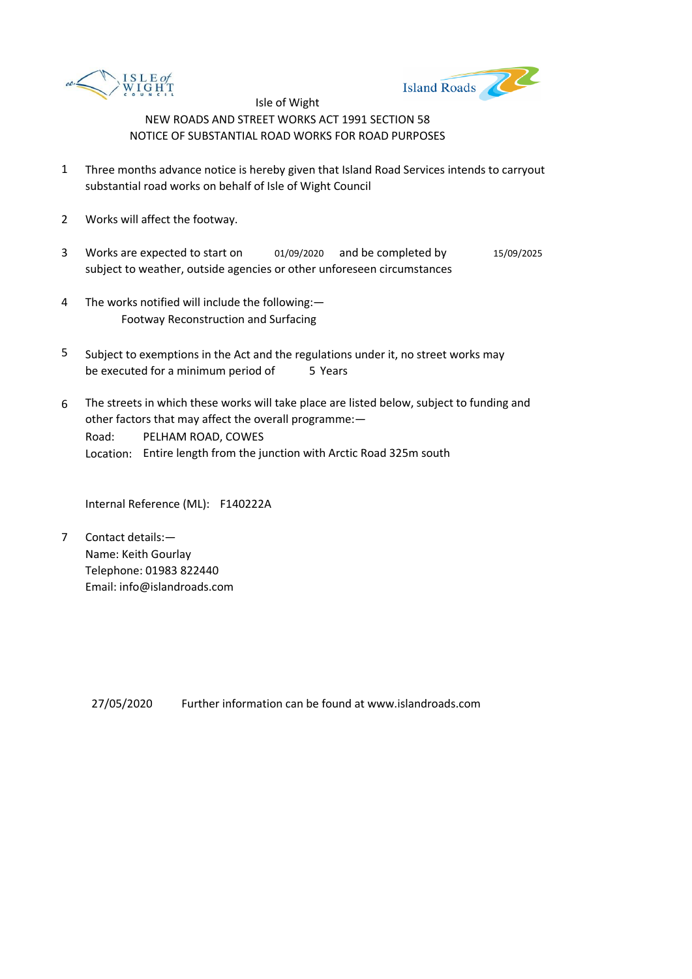



- 1 Three months advance notice is hereby given that Island Road Services intends to carryout substantial road works on behalf of Isle of Wight Council
- 2 Works will affect the footway.
- 3 Works are expected to start on  $01/09/2020$  and be completed by  $15/09/2025$ subject to weather, outside agencies or other unforeseen circumstances
- 4 The works notified will include the following:— Footway Reconstruction and Surfacing
- 5 be executed for a minimum period of 5 Years Subject to exemptions in the Act and the regulations under it, no street works may
- 6 Road: Location: Entire length from the junction with Arctic Road 325m south The streets in which these works will take place are listed below, subject to funding and other factors that may affect the overall programme:— PELHAM ROAD, COWES

Internal Reference (ML): F140222A

7 Contact details:— Name: Keith Gourlay Telephone: 01983 822440 Email: info@islandroads.com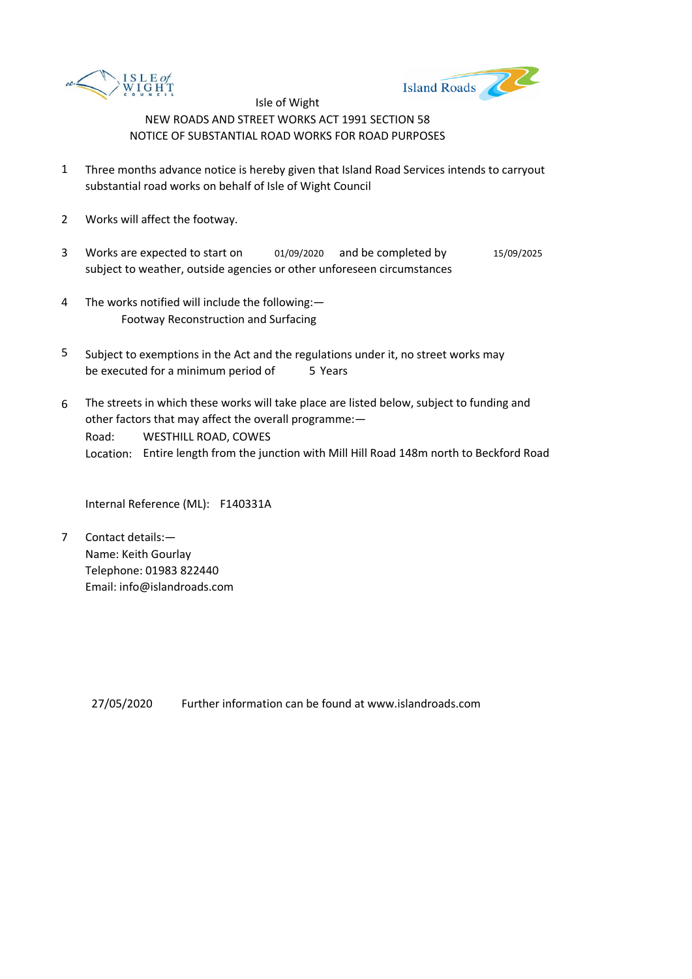



- 1 Three months advance notice is hereby given that Island Road Services intends to carryout substantial road works on behalf of Isle of Wight Council
- 2 Works will affect the footway.
- 3 Works are expected to start on  $01/09/2020$  and be completed by  $15/09/2025$ subject to weather, outside agencies or other unforeseen circumstances
- 4 The works notified will include the following:— Footway Reconstruction and Surfacing
- 5 be executed for a minimum period of 5 Years Subject to exemptions in the Act and the regulations under it, no street works may
- 6 Road: Location: Entire length from the junction with Mill Hill Road 148m north to Beckford Road The streets in which these works will take place are listed below, subject to funding and other factors that may affect the overall programme:— WESTHILL ROAD, COWES

Internal Reference (ML): F140331A

7 Contact details:— Name: Keith Gourlay Telephone: 01983 822440 Email: info@islandroads.com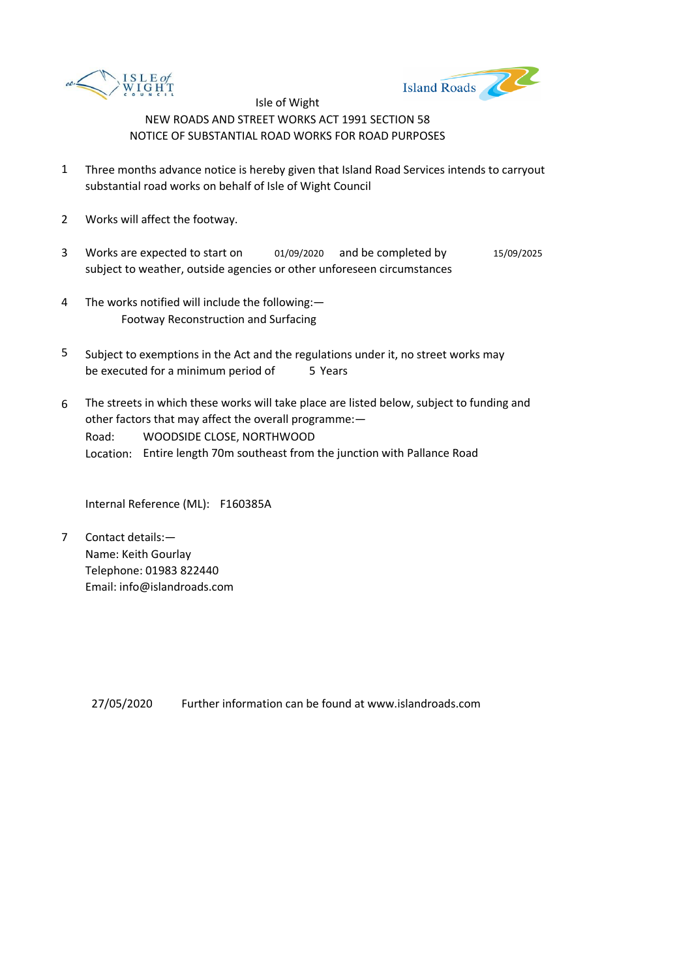



- 1 Three months advance notice is hereby given that Island Road Services intends to carryout substantial road works on behalf of Isle of Wight Council
- 2 Works will affect the footway.
- 3 Works are expected to start on  $01/09/2020$  and be completed by  $15/09/2025$ subject to weather, outside agencies or other unforeseen circumstances
- 4 The works notified will include the following:— Footway Reconstruction and Surfacing
- 5 be executed for a minimum period of 5 Years Subject to exemptions in the Act and the regulations under it, no street works may
- 6 Road: Location: Entire length 70m southeast from the junction with Pallance Road The streets in which these works will take place are listed below, subject to funding and other factors that may affect the overall programme:— WOODSIDE CLOSE, NORTHWOOD

Internal Reference (ML): F160385A

7 Contact details:— Name: Keith Gourlay Telephone: 01983 822440 Email: info@islandroads.com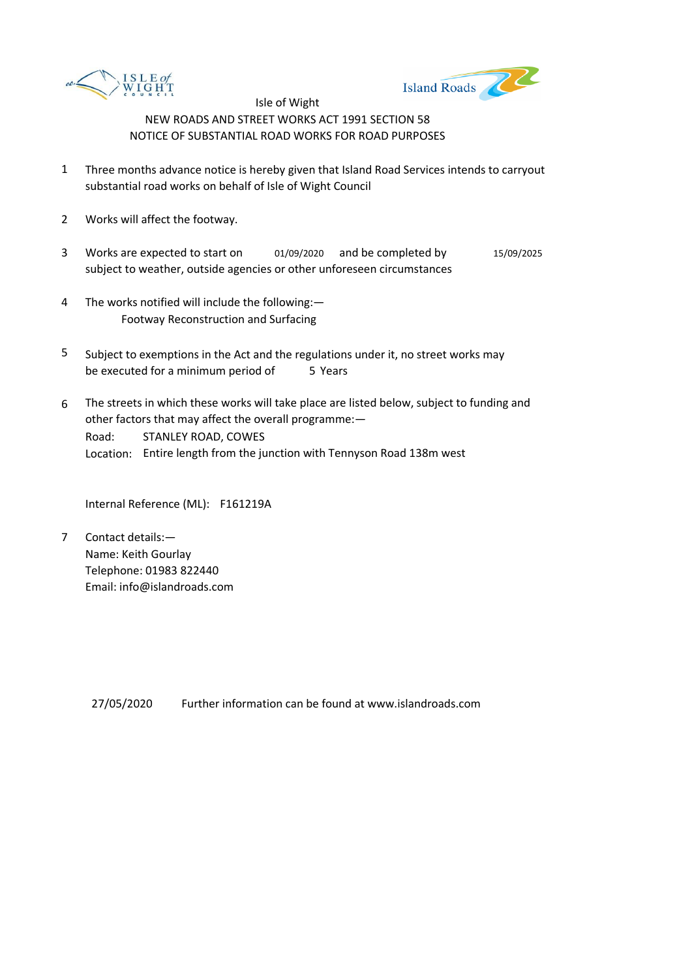



- 1 Three months advance notice is hereby given that Island Road Services intends to carryout substantial road works on behalf of Isle of Wight Council
- 2 Works will affect the footway.
- 3 Works are expected to start on  $01/09/2020$  and be completed by  $15/09/2025$ subject to weather, outside agencies or other unforeseen circumstances
- 4 The works notified will include the following:— Footway Reconstruction and Surfacing
- 5 be executed for a minimum period of 5 Years Subject to exemptions in the Act and the regulations under it, no street works may
- 6 Road: Location: Entire length from the junction with Tennyson Road 138m west The streets in which these works will take place are listed below, subject to funding and other factors that may affect the overall programme:— STANLEY ROAD, COWES

Internal Reference (ML): F161219A

7 Contact details:— Name: Keith Gourlay Telephone: 01983 822440 Email: info@islandroads.com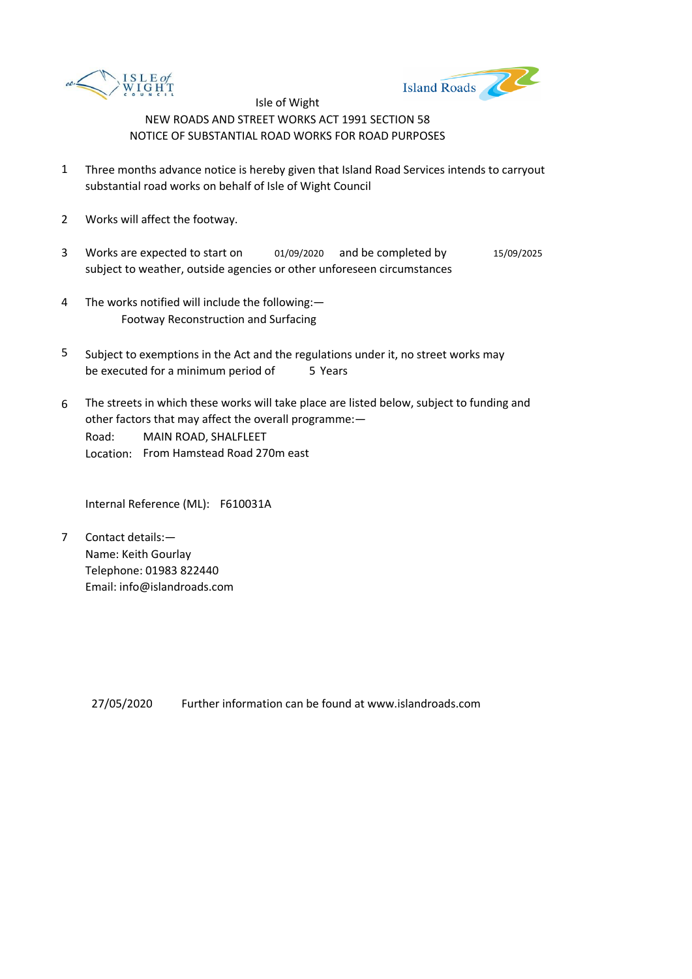



- 1 Three months advance notice is hereby given that Island Road Services intends to carryout substantial road works on behalf of Isle of Wight Council
- 2 Works will affect the footway.
- 3 Works are expected to start on  $01/09/2020$  and be completed by  $15/09/2025$ subject to weather, outside agencies or other unforeseen circumstances
- 4 The works notified will include the following:— Footway Reconstruction and Surfacing
- 5 be executed for a minimum period of 5 Years Subject to exemptions in the Act and the regulations under it, no street works may
- 6 Road: Location: From Hamstead Road 270m east The streets in which these works will take place are listed below, subject to funding and other factors that may affect the overall programme:— MAIN ROAD, SHALFLEET

Internal Reference (ML): F610031A

7 Contact details:— Name: Keith Gourlay Telephone: 01983 822440 Email: info@islandroads.com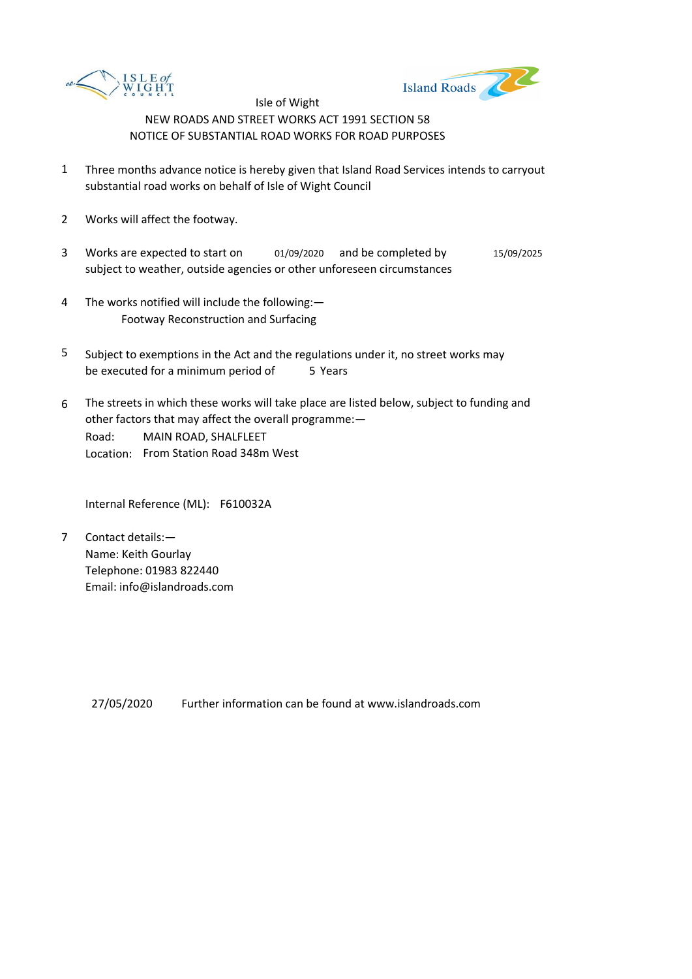



- 1 Three months advance notice is hereby given that Island Road Services intends to carryout substantial road works on behalf of Isle of Wight Council
- 2 Works will affect the footway.
- 3 Works are expected to start on  $01/09/2020$  and be completed by  $15/09/2025$ subject to weather, outside agencies or other unforeseen circumstances
- 4 The works notified will include the following:— Footway Reconstruction and Surfacing
- 5 be executed for a minimum period of 5 Years Subject to exemptions in the Act and the regulations under it, no street works may
- 6 Road: Location: From Station Road 348m West The streets in which these works will take place are listed below, subject to funding and other factors that may affect the overall programme:— MAIN ROAD, SHALFLEET

Internal Reference (ML): F610032A

7 Contact details:— Name: Keith Gourlay Telephone: 01983 822440 Email: info@islandroads.com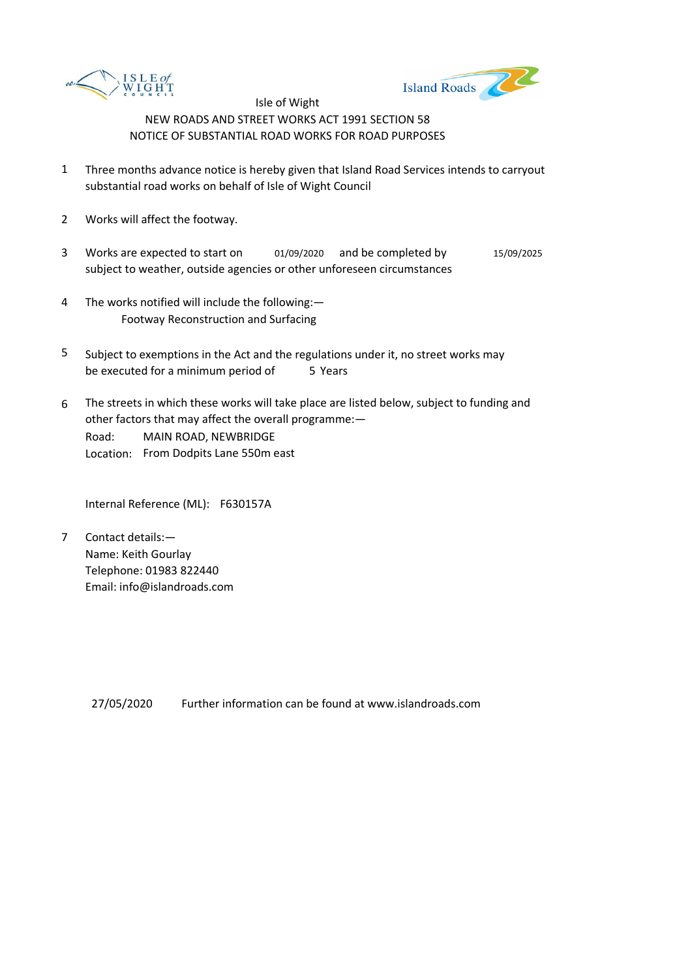



- 1 Three months advance notice is hereby given that Island Road Services intends to carryout substantial road works on behalf of Isle of Wight Council
- 2 Works will affect the footway.
- 3 Works are expected to start on  $01/09/2020$  and be completed by  $15/09/2025$ subject to weather, outside agencies or other unforeseen circumstances
- 4 The works notified will include the following:— Footway Reconstruction and Surfacing
- 5 be executed for a minimum period of 5 Years Subject to exemptions in the Act and the regulations under it, no street works may
- 6 Road: Location: From Dodpits Lane 550m east The streets in which these works will take place are listed below, subject to funding and other factors that may affect the overall programme:— MAIN ROAD, NEWBRIDGE

Internal Reference (ML): F630157A

7 Contact details:— Name: Keith Gourlay Telephone: 01983 822440 Email: info@islandroads.com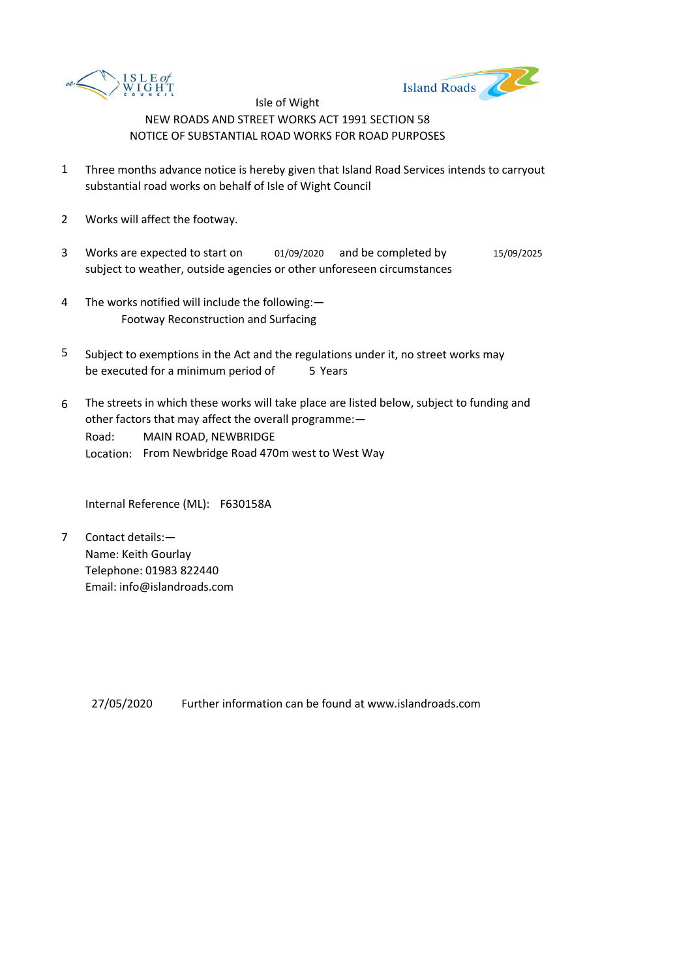



- 1 Three months advance notice is hereby given that Island Road Services intends to carryout substantial road works on behalf of Isle of Wight Council
- 2 Works will affect the footway.
- 3 Works are expected to start on  $01/09/2020$  and be completed by  $15/09/2025$ subject to weather, outside agencies or other unforeseen circumstances
- 4 The works notified will include the following:— Footway Reconstruction and Surfacing
- 5 be executed for a minimum period of 5 Years Subject to exemptions in the Act and the regulations under it, no street works may
- 6 Road: Location: From Newbridge Road 470m west to West Way The streets in which these works will take place are listed below, subject to funding and other factors that may affect the overall programme:— MAIN ROAD, NEWBRIDGE

Internal Reference (ML): F630158A

7 Contact details:— Name: Keith Gourlay Telephone: 01983 822440 Email: info@islandroads.com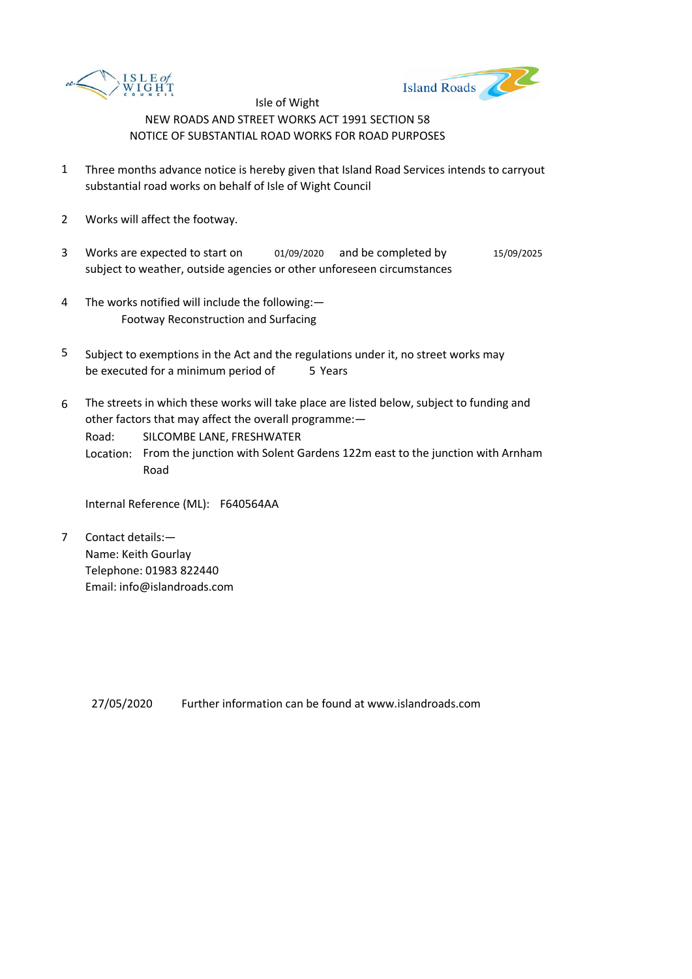



- 1 Three months advance notice is hereby given that Island Road Services intends to carryout substantial road works on behalf of Isle of Wight Council
- 2 Works will affect the footway.
- 3 Works are expected to start on  $01/09/2020$  and be completed by  $15/09/2025$ subject to weather, outside agencies or other unforeseen circumstances
- 4 The works notified will include the following:— Footway Reconstruction and Surfacing
- 5 be executed for a minimum period of 5 Years Subject to exemptions in the Act and the regulations under it, no street works may
- 6 The streets in which these works will take place are listed below, subject to funding and other factors that may affect the overall programme:—

Road: SILCOMBE LANE, FRESHWATER

Location: From the junction with Solent Gardens 122m east to the junction with Arnham Road

Internal Reference (ML): F640564AA

7 Contact details:— Name: Keith Gourlay Telephone: 01983 822440 Email: info@islandroads.com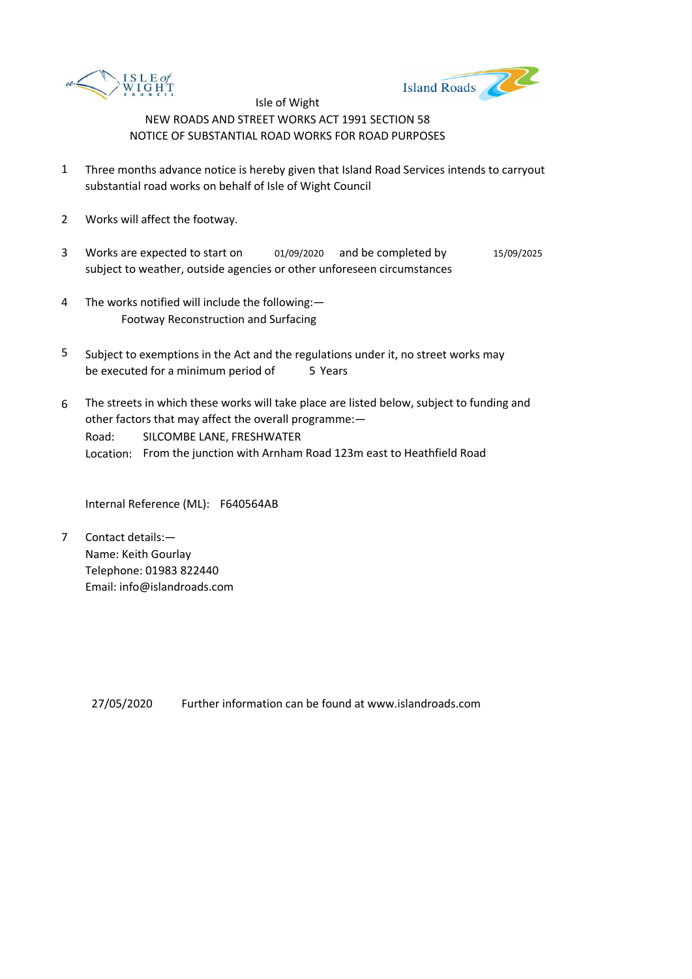



- 1 Three months advance notice is hereby given that Island Road Services intends to carryout substantial road works on behalf of Isle of Wight Council
- 2 Works will affect the footway.
- 3 Works are expected to start on  $01/09/2020$  and be completed by  $15/09/2025$ subject to weather, outside agencies or other unforeseen circumstances
- 4 The works notified will include the following:— Footway Reconstruction and Surfacing
- 5 be executed for a minimum period of 5 Years Subject to exemptions in the Act and the regulations under it, no street works may
- 6 Road: Location: From the junction with Arnham Road 123m east to Heathfield Road The streets in which these works will take place are listed below, subject to funding and other factors that may affect the overall programme:— SILCOMBE LANE, FRESHWATER

Internal Reference (ML): F640564AB

7 Contact details:— Name: Keith Gourlay Telephone: 01983 822440 Email: info@islandroads.com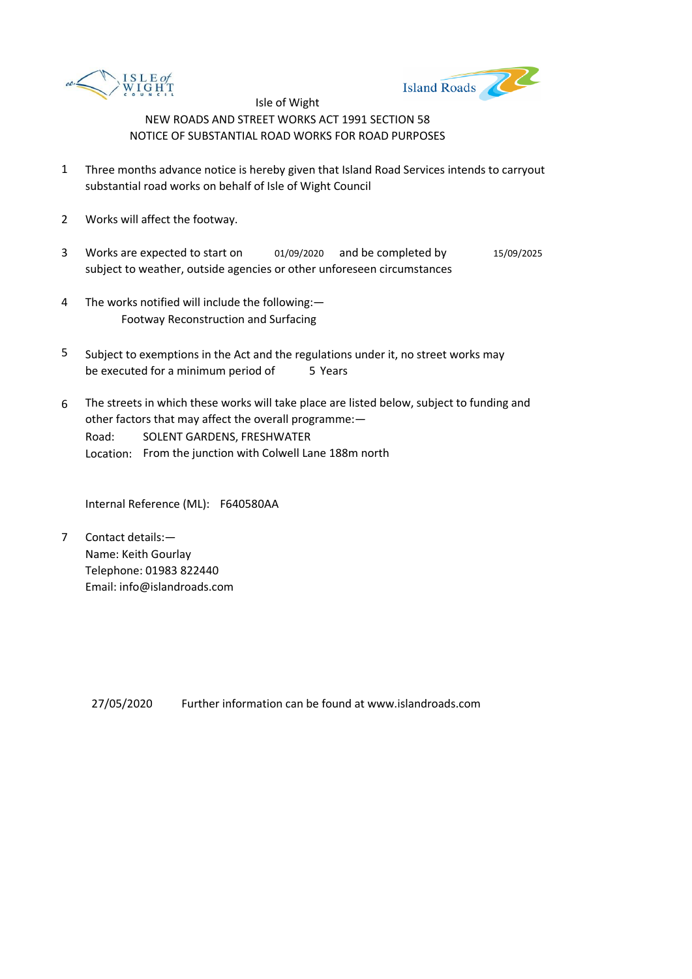



- 1 Three months advance notice is hereby given that Island Road Services intends to carryout substantial road works on behalf of Isle of Wight Council
- 2 Works will affect the footway.
- 3 Works are expected to start on  $01/09/2020$  and be completed by  $15/09/2025$ subject to weather, outside agencies or other unforeseen circumstances
- 4 The works notified will include the following:— Footway Reconstruction and Surfacing
- 5 be executed for a minimum period of 5 Years Subject to exemptions in the Act and the regulations under it, no street works may
- 6 Road: Location: From the junction with Colwell Lane 188m north The streets in which these works will take place are listed below, subject to funding and other factors that may affect the overall programme:— SOLENT GARDENS, FRESHWATER

Internal Reference (ML): F640580AA

7 Contact details:— Name: Keith Gourlay Telephone: 01983 822440 Email: info@islandroads.com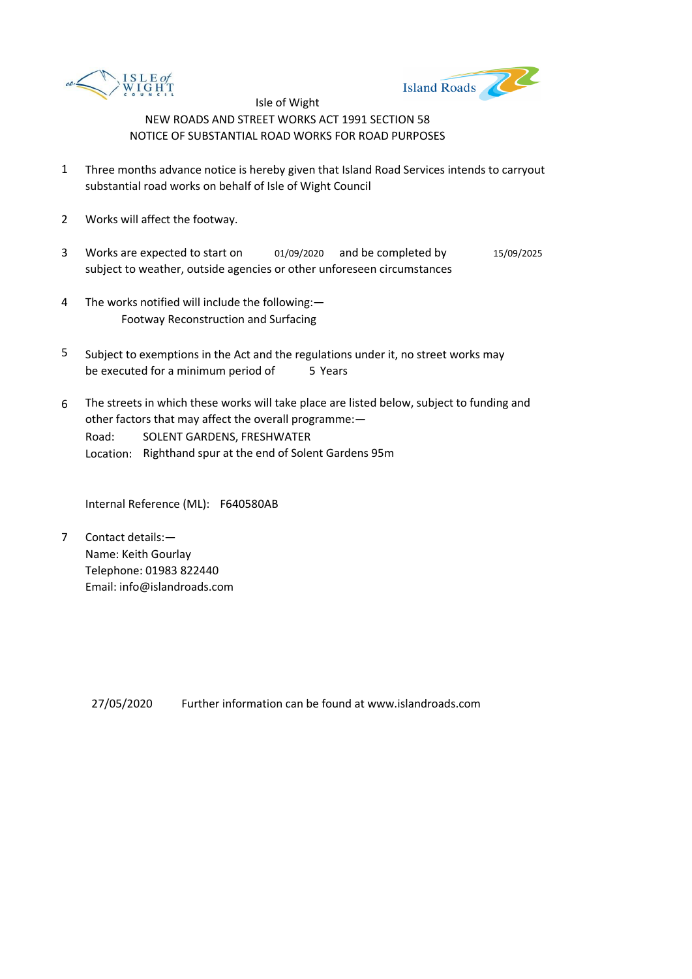



- 1 Three months advance notice is hereby given that Island Road Services intends to carryout substantial road works on behalf of Isle of Wight Council
- 2 Works will affect the footway.
- 3 Works are expected to start on  $01/09/2020$  and be completed by  $15/09/2025$ subject to weather, outside agencies or other unforeseen circumstances
- 4 The works notified will include the following:— Footway Reconstruction and Surfacing
- 5 be executed for a minimum period of 5 Years Subject to exemptions in the Act and the regulations under it, no street works may
- 6 Road: Location: Righthand spur at the end of Solent Gardens 95m The streets in which these works will take place are listed below, subject to funding and other factors that may affect the overall programme:— SOLENT GARDENS, FRESHWATER

Internal Reference (ML): F640580AB

7 Contact details:— Name: Keith Gourlay Telephone: 01983 822440 Email: info@islandroads.com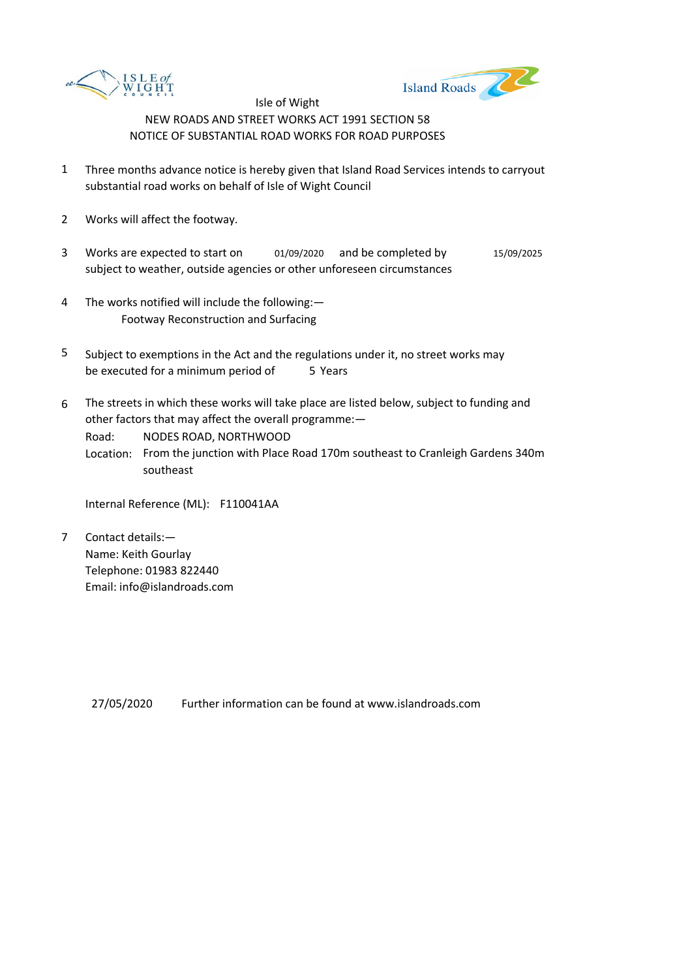



- 1 Three months advance notice is hereby given that Island Road Services intends to carryout substantial road works on behalf of Isle of Wight Council
- 2 Works will affect the footway.
- 3 Works are expected to start on  $01/09/2020$  and be completed by  $15/09/2025$ subject to weather, outside agencies or other unforeseen circumstances
- 4 The works notified will include the following:— Footway Reconstruction and Surfacing
- 5 be executed for a minimum period of 5 Years Subject to exemptions in the Act and the regulations under it, no street works may
- 6 The streets in which these works will take place are listed below, subject to funding and other factors that may affect the overall programme:—

Road: NODES ROAD, NORTHWOOD

Location: From the junction with Place Road 170m southeast to Cranleigh Gardens 340m southeast

Internal Reference (ML): F110041AA

7 Contact details:— Name: Keith Gourlay Telephone: 01983 822440 Email: info@islandroads.com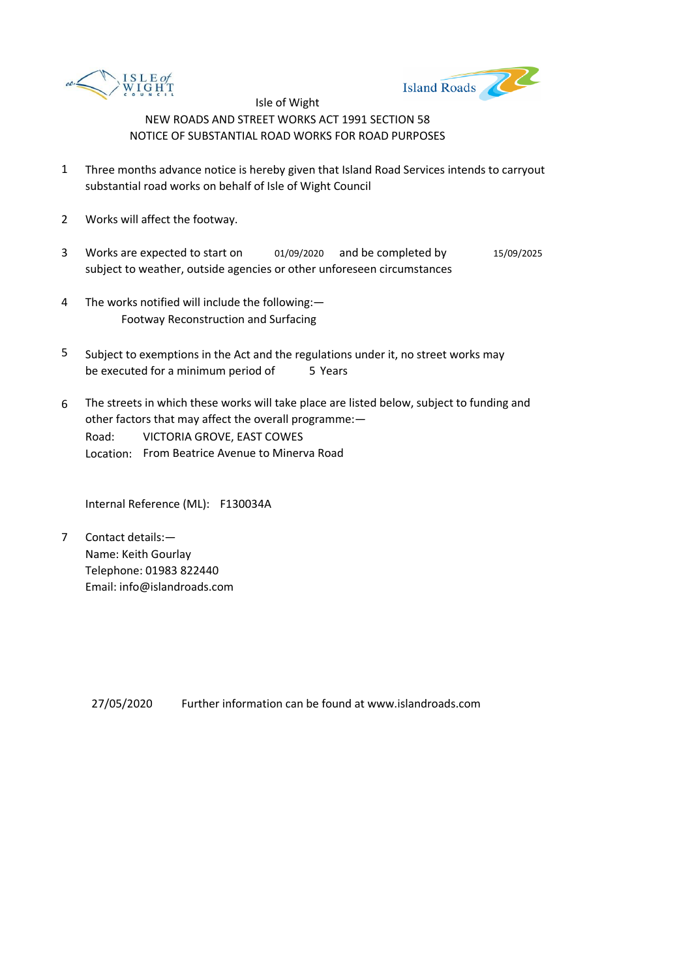



- 1 Three months advance notice is hereby given that Island Road Services intends to carryout substantial road works on behalf of Isle of Wight Council
- 2 Works will affect the footway.
- 3 Works are expected to start on  $01/09/2020$  and be completed by  $15/09/2025$ subject to weather, outside agencies or other unforeseen circumstances
- 4 The works notified will include the following:— Footway Reconstruction and Surfacing
- 5 be executed for a minimum period of 5 Years Subject to exemptions in the Act and the regulations under it, no street works may
- 6 Road: Location: From Beatrice Avenue to Minerva Road The streets in which these works will take place are listed below, subject to funding and other factors that may affect the overall programme:— VICTORIA GROVE, EAST COWES

Internal Reference (ML): F130034A

7 Contact details:— Name: Keith Gourlay Telephone: 01983 822440 Email: info@islandroads.com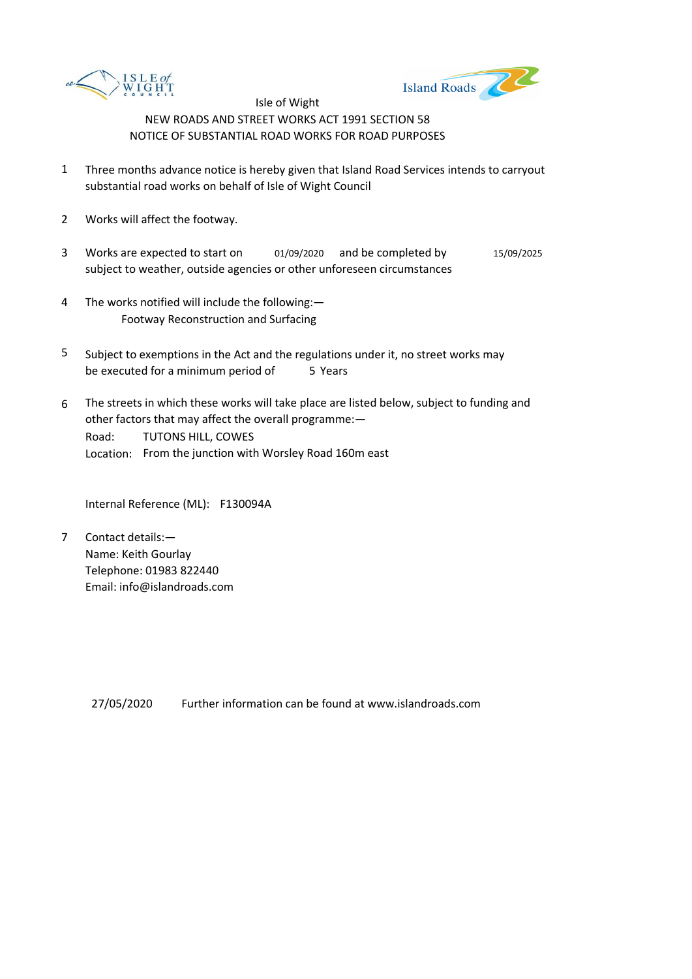



- 1 Three months advance notice is hereby given that Island Road Services intends to carryout substantial road works on behalf of Isle of Wight Council
- 2 Works will affect the footway.
- 3 Works are expected to start on  $01/09/2020$  and be completed by  $15/09/2025$ subject to weather, outside agencies or other unforeseen circumstances
- 4 The works notified will include the following:— Footway Reconstruction and Surfacing
- 5 be executed for a minimum period of 5 Years Subject to exemptions in the Act and the regulations under it, no street works may
- 6 Road: Location: From the junction with Worsley Road 160m east The streets in which these works will take place are listed below, subject to funding and other factors that may affect the overall programme:— TUTONS HILL, COWES

Internal Reference (ML): F130094A

7 Contact details:— Name: Keith Gourlay Telephone: 01983 822440 Email: info@islandroads.com